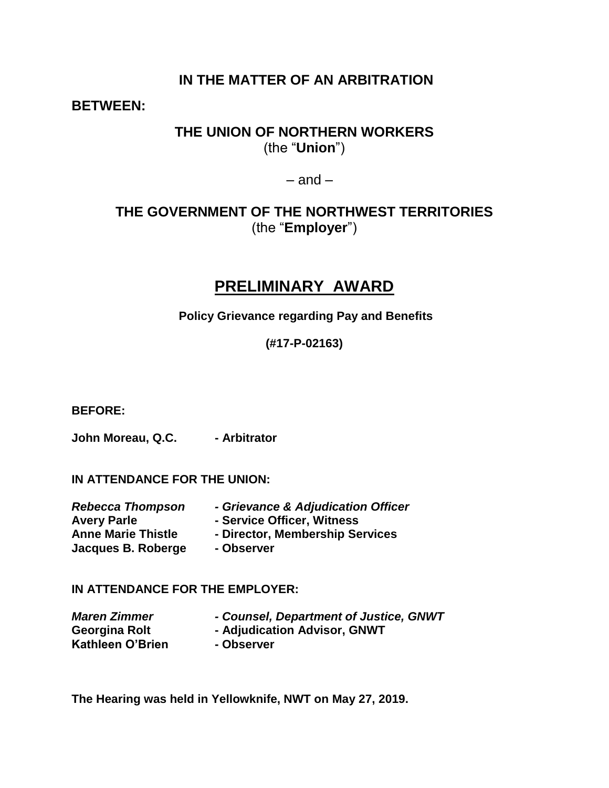### **IN THE MATTER OF AN ARBITRATION**

### **BETWEEN:**

### **THE UNION OF NORTHERN WORKERS** (the "**Union**")

 $-$  and  $-$ 

## **THE GOVERNMENT OF THE NORTHWEST TERRITORIES** (the "**Employer**")

# **PRELIMINARY AWARD**

**Policy Grievance regarding Pay and Benefits**

**(#17-P-02163)**

### **BEFORE:**

John Moreau, Q.C. - Arbitrator

**IN ATTENDANCE FOR THE UNION:**

| - Grievance & Adjudication Officer |
|------------------------------------|
| - Service Officer, Witness         |
| - Director, Membership Services    |
| - Observer                         |
|                                    |

### **IN ATTENDANCE FOR THE EMPLOYER:**

| <b>Maren Zimmer</b> | - Counsel, Department of Justice, GNWT |
|---------------------|----------------------------------------|
| Georgina Rolt       | - Adjudication Advisor, GNWT           |
| Kathleen O'Brien    | - Observer                             |

**The Hearing was held in Yellowknife, NWT on May 27, 2019.**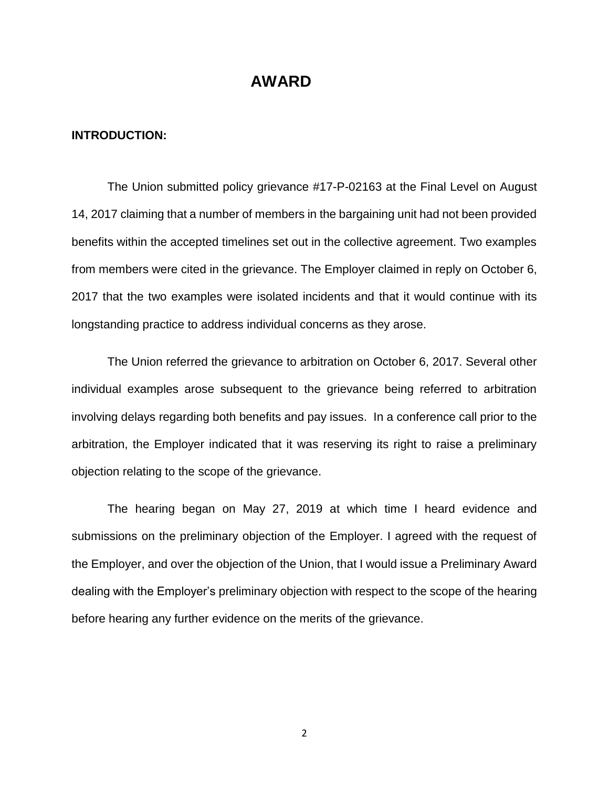### **AWARD**

#### **INTRODUCTION:**

The Union submitted policy grievance #17-P-02163 at the Final Level on August 14, 2017 claiming that a number of members in the bargaining unit had not been provided benefits within the accepted timelines set out in the collective agreement. Two examples from members were cited in the grievance. The Employer claimed in reply on October 6, 2017 that the two examples were isolated incidents and that it would continue with its longstanding practice to address individual concerns as they arose.

The Union referred the grievance to arbitration on October 6, 2017. Several other individual examples arose subsequent to the grievance being referred to arbitration involving delays regarding both benefits and pay issues. In a conference call prior to the arbitration, the Employer indicated that it was reserving its right to raise a preliminary objection relating to the scope of the grievance.

The hearing began on May 27, 2019 at which time I heard evidence and submissions on the preliminary objection of the Employer. I agreed with the request of the Employer, and over the objection of the Union, that I would issue a Preliminary Award dealing with the Employer's preliminary objection with respect to the scope of the hearing before hearing any further evidence on the merits of the grievance.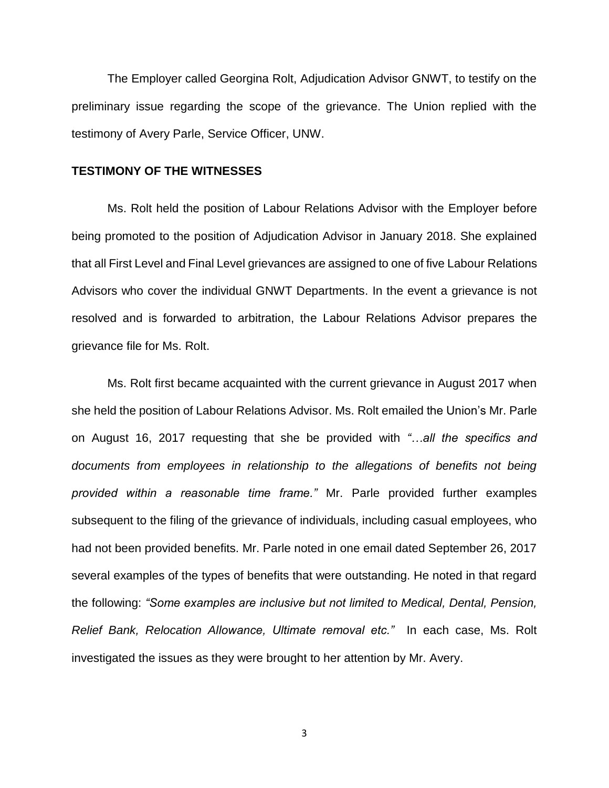The Employer called Georgina Rolt, Adjudication Advisor GNWT, to testify on the preliminary issue regarding the scope of the grievance. The Union replied with the testimony of Avery Parle, Service Officer, UNW.

#### **TESTIMONY OF THE WITNESSES**

Ms. Rolt held the position of Labour Relations Advisor with the Employer before being promoted to the position of Adjudication Advisor in January 2018. She explained that all First Level and Final Level grievances are assigned to one of five Labour Relations Advisors who cover the individual GNWT Departments. In the event a grievance is not resolved and is forwarded to arbitration, the Labour Relations Advisor prepares the grievance file for Ms. Rolt.

Ms. Rolt first became acquainted with the current grievance in August 2017 when she held the position of Labour Relations Advisor. Ms. Rolt emailed the Union's Mr. Parle on August 16, 2017 requesting that she be provided with *"…all the specifics and documents from employees in relationship to the allegations of benefits not being provided within a reasonable time frame."* Mr. Parle provided further examples subsequent to the filing of the grievance of individuals, including casual employees, who had not been provided benefits. Mr. Parle noted in one email dated September 26, 2017 several examples of the types of benefits that were outstanding. He noted in that regard the following: *"Some examples are inclusive but not limited to Medical, Dental, Pension, Relief Bank, Relocation Allowance, Ultimate removal etc."* In each case, Ms. Rolt investigated the issues as they were brought to her attention by Mr. Avery.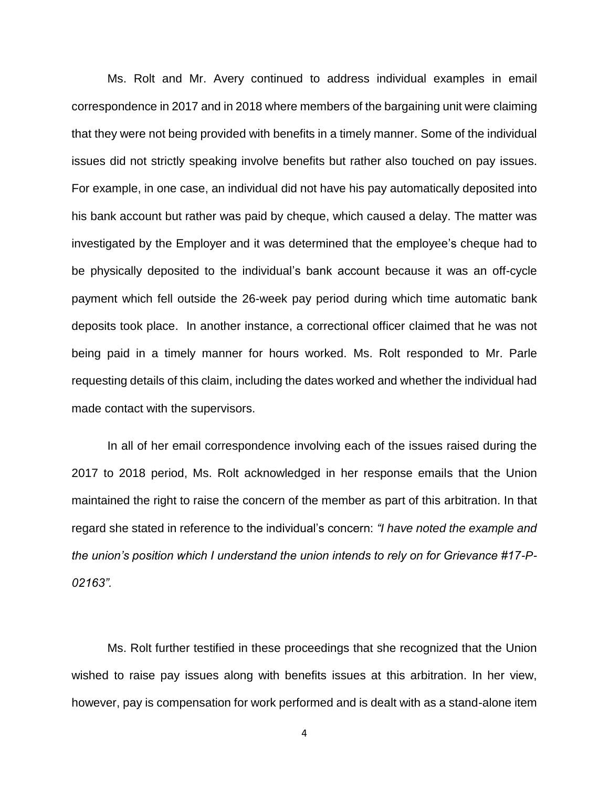Ms. Rolt and Mr. Avery continued to address individual examples in email correspondence in 2017 and in 2018 where members of the bargaining unit were claiming that they were not being provided with benefits in a timely manner. Some of the individual issues did not strictly speaking involve benefits but rather also touched on pay issues. For example, in one case, an individual did not have his pay automatically deposited into his bank account but rather was paid by cheque, which caused a delay. The matter was investigated by the Employer and it was determined that the employee's cheque had to be physically deposited to the individual's bank account because it was an off-cycle payment which fell outside the 26-week pay period during which time automatic bank deposits took place. In another instance, a correctional officer claimed that he was not being paid in a timely manner for hours worked. Ms. Rolt responded to Mr. Parle requesting details of this claim, including the dates worked and whether the individual had made contact with the supervisors.

In all of her email correspondence involving each of the issues raised during the 2017 to 2018 period, Ms. Rolt acknowledged in her response emails that the Union maintained the right to raise the concern of the member as part of this arbitration. In that regard she stated in reference to the individual's concern: *"I have noted the example and the union's position which I understand the union intends to rely on for Grievance #17-P-02163".*

Ms. Rolt further testified in these proceedings that she recognized that the Union wished to raise pay issues along with benefits issues at this arbitration. In her view, however, pay is compensation for work performed and is dealt with as a stand-alone item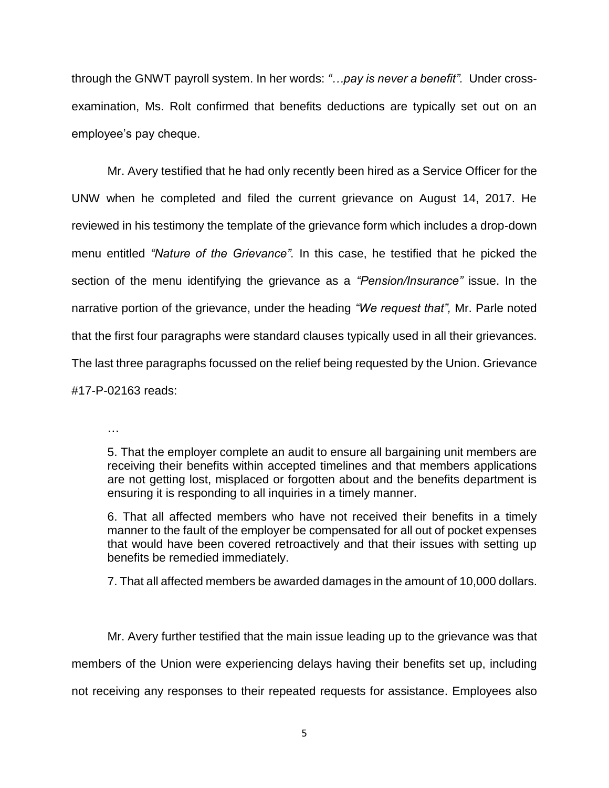through the GNWT payroll system. In her words: *"…pay is never a benefit".* Under crossexamination, Ms. Rolt confirmed that benefits deductions are typically set out on an employee's pay cheque.

Mr. Avery testified that he had only recently been hired as a Service Officer for the UNW when he completed and filed the current grievance on August 14, 2017. He reviewed in his testimony the template of the grievance form which includes a drop-down menu entitled *"Nature of the Grievance".* In this case, he testified that he picked the section of the menu identifying the grievance as a *"Pension/Insurance"* issue. In the narrative portion of the grievance, under the heading *"We request that",* Mr. Parle noted that the first four paragraphs were standard clauses typically used in all their grievances. The last three paragraphs focussed on the relief being requested by the Union. Grievance #17-P-02163 reads:

…

5. That the employer complete an audit to ensure all bargaining unit members are receiving their benefits within accepted timelines and that members applications are not getting lost, misplaced or forgotten about and the benefits department is ensuring it is responding to all inquiries in a timely manner.

6. That all affected members who have not received their benefits in a timely manner to the fault of the employer be compensated for all out of pocket expenses that would have been covered retroactively and that their issues with setting up benefits be remedied immediately.

7. That all affected members be awarded damages in the amount of 10,000 dollars.

Mr. Avery further testified that the main issue leading up to the grievance was that members of the Union were experiencing delays having their benefits set up, including not receiving any responses to their repeated requests for assistance. Employees also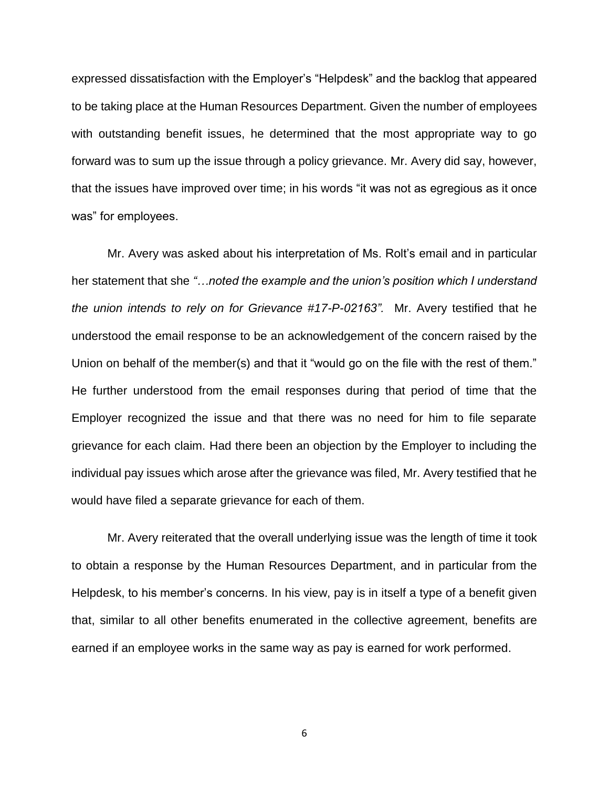expressed dissatisfaction with the Employer's "Helpdesk" and the backlog that appeared to be taking place at the Human Resources Department. Given the number of employees with outstanding benefit issues, he determined that the most appropriate way to go forward was to sum up the issue through a policy grievance. Mr. Avery did say, however, that the issues have improved over time; in his words "it was not as egregious as it once was" for employees.

Mr. Avery was asked about his interpretation of Ms. Rolt's email and in particular her statement that she *"…noted the example and the union's position which I understand the union intends to rely on for Grievance #17-P-02163".* Mr. Avery testified that he understood the email response to be an acknowledgement of the concern raised by the Union on behalf of the member(s) and that it "would go on the file with the rest of them." He further understood from the email responses during that period of time that the Employer recognized the issue and that there was no need for him to file separate grievance for each claim. Had there been an objection by the Employer to including the individual pay issues which arose after the grievance was filed, Mr. Avery testified that he would have filed a separate grievance for each of them.

Mr. Avery reiterated that the overall underlying issue was the length of time it took to obtain a response by the Human Resources Department, and in particular from the Helpdesk, to his member's concerns. In his view, pay is in itself a type of a benefit given that, similar to all other benefits enumerated in the collective agreement, benefits are earned if an employee works in the same way as pay is earned for work performed.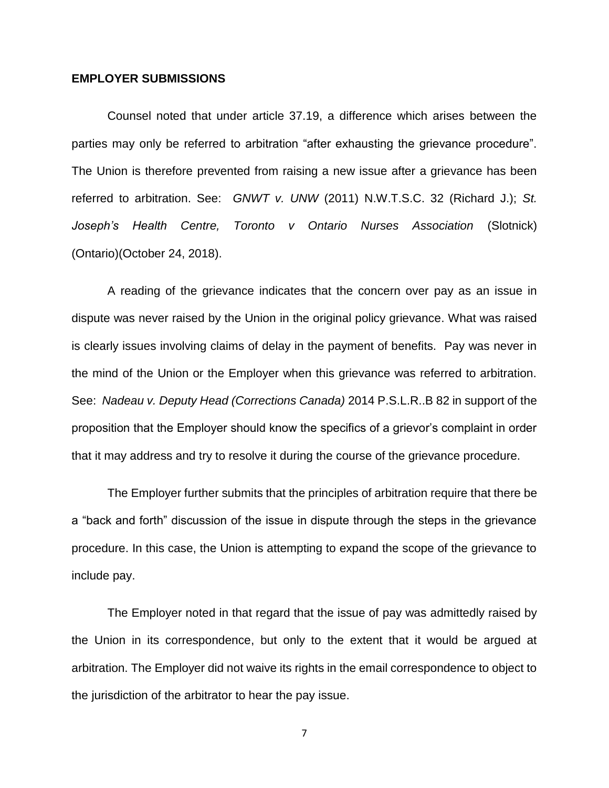### **EMPLOYER SUBMISSIONS**

Counsel noted that under article 37.19, a difference which arises between the parties may only be referred to arbitration "after exhausting the grievance procedure". The Union is therefore prevented from raising a new issue after a grievance has been referred to arbitration. See: *GNWT v. UNW* (2011) N.W.T.S.C. 32 (Richard J.); *St. Joseph's Health Centre, Toronto v Ontario Nurses Association* (Slotnick) (Ontario)(October 24, 2018).

A reading of the grievance indicates that the concern over pay as an issue in dispute was never raised by the Union in the original policy grievance. What was raised is clearly issues involving claims of delay in the payment of benefits. Pay was never in the mind of the Union or the Employer when this grievance was referred to arbitration. See: *Nadeau v. Deputy Head (Corrections Canada)* 2014 P.S.L.R..B 82 in support of the proposition that the Employer should know the specifics of a grievor's complaint in order that it may address and try to resolve it during the course of the grievance procedure.

The Employer further submits that the principles of arbitration require that there be a "back and forth" discussion of the issue in dispute through the steps in the grievance procedure. In this case, the Union is attempting to expand the scope of the grievance to include pay.

The Employer noted in that regard that the issue of pay was admittedly raised by the Union in its correspondence, but only to the extent that it would be argued at arbitration. The Employer did not waive its rights in the email correspondence to object to the jurisdiction of the arbitrator to hear the pay issue.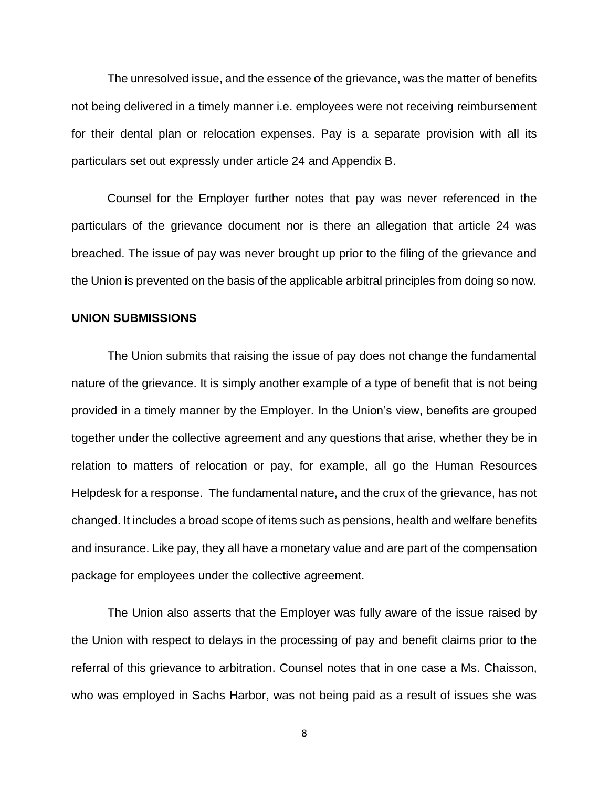The unresolved issue, and the essence of the grievance, was the matter of benefits not being delivered in a timely manner i.e. employees were not receiving reimbursement for their dental plan or relocation expenses. Pay is a separate provision with all its particulars set out expressly under article 24 and Appendix B.

Counsel for the Employer further notes that pay was never referenced in the particulars of the grievance document nor is there an allegation that article 24 was breached. The issue of pay was never brought up prior to the filing of the grievance and the Union is prevented on the basis of the applicable arbitral principles from doing so now.

#### **UNION SUBMISSIONS**

The Union submits that raising the issue of pay does not change the fundamental nature of the grievance. It is simply another example of a type of benefit that is not being provided in a timely manner by the Employer. In the Union's view, benefits are grouped together under the collective agreement and any questions that arise, whether they be in relation to matters of relocation or pay, for example, all go the Human Resources Helpdesk for a response. The fundamental nature, and the crux of the grievance, has not changed. It includes a broad scope of items such as pensions, health and welfare benefits and insurance. Like pay, they all have a monetary value and are part of the compensation package for employees under the collective agreement.

The Union also asserts that the Employer was fully aware of the issue raised by the Union with respect to delays in the processing of pay and benefit claims prior to the referral of this grievance to arbitration. Counsel notes that in one case a Ms. Chaisson, who was employed in Sachs Harbor, was not being paid as a result of issues she was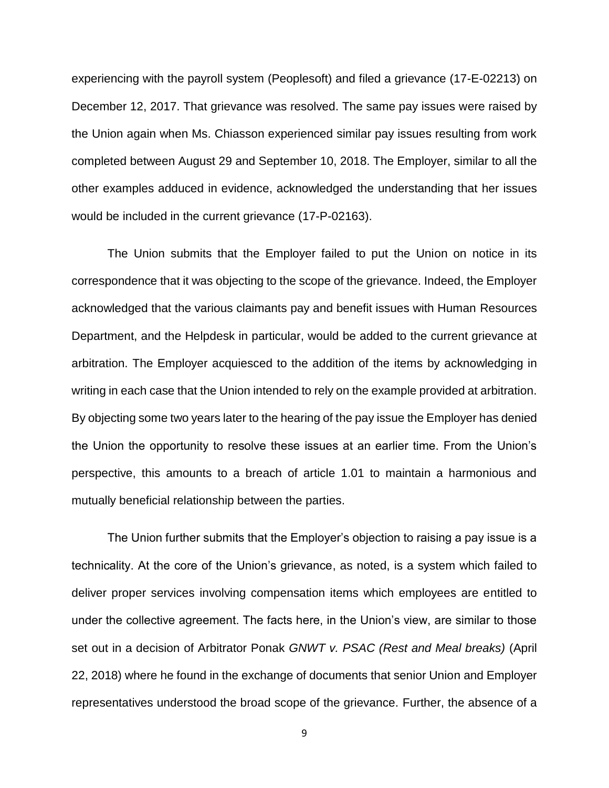experiencing with the payroll system (Peoplesoft) and filed a grievance (17-E-02213) on December 12, 2017. That grievance was resolved. The same pay issues were raised by the Union again when Ms. Chiasson experienced similar pay issues resulting from work completed between August 29 and September 10, 2018. The Employer, similar to all the other examples adduced in evidence, acknowledged the understanding that her issues would be included in the current grievance (17-P-02163).

The Union submits that the Employer failed to put the Union on notice in its correspondence that it was objecting to the scope of the grievance. Indeed, the Employer acknowledged that the various claimants pay and benefit issues with Human Resources Department, and the Helpdesk in particular, would be added to the current grievance at arbitration. The Employer acquiesced to the addition of the items by acknowledging in writing in each case that the Union intended to rely on the example provided at arbitration. By objecting some two years later to the hearing of the pay issue the Employer has denied the Union the opportunity to resolve these issues at an earlier time. From the Union's perspective, this amounts to a breach of article 1.01 to maintain a harmonious and mutually beneficial relationship between the parties.

The Union further submits that the Employer's objection to raising a pay issue is a technicality. At the core of the Union's grievance, as noted, is a system which failed to deliver proper services involving compensation items which employees are entitled to under the collective agreement. The facts here, in the Union's view, are similar to those set out in a decision of Arbitrator Ponak *GNWT v. PSAC (Rest and Meal breaks)* (April 22, 2018) where he found in the exchange of documents that senior Union and Employer representatives understood the broad scope of the grievance. Further, the absence of a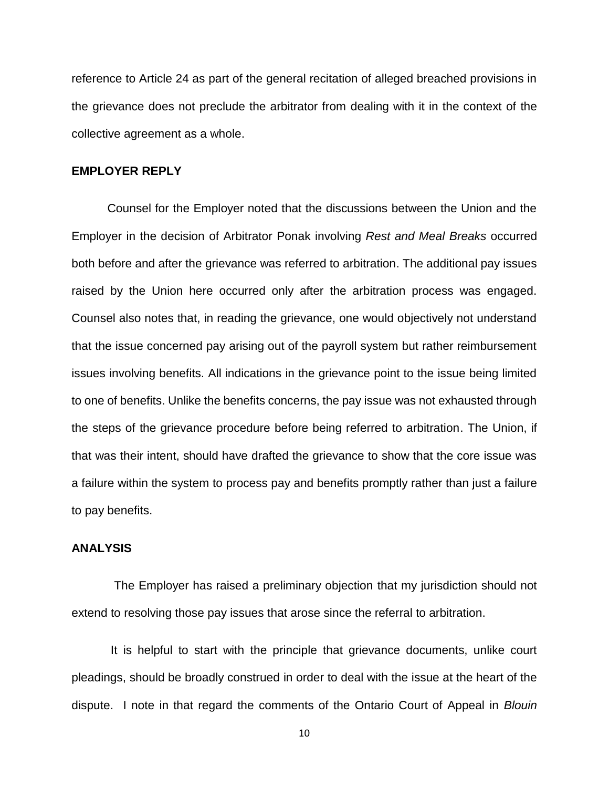reference to Article 24 as part of the general recitation of alleged breached provisions in the grievance does not preclude the arbitrator from dealing with it in the context of the collective agreement as a whole.

### **EMPLOYER REPLY**

Counsel for the Employer noted that the discussions between the Union and the Employer in the decision of Arbitrator Ponak involving *Rest and Meal Breaks* occurred both before and after the grievance was referred to arbitration. The additional pay issues raised by the Union here occurred only after the arbitration process was engaged. Counsel also notes that, in reading the grievance, one would objectively not understand that the issue concerned pay arising out of the payroll system but rather reimbursement issues involving benefits. All indications in the grievance point to the issue being limited to one of benefits. Unlike the benefits concerns, the pay issue was not exhausted through the steps of the grievance procedure before being referred to arbitration. The Union, if that was their intent, should have drafted the grievance to show that the core issue was a failure within the system to process pay and benefits promptly rather than just a failure to pay benefits.

#### **ANALYSIS**

The Employer has raised a preliminary objection that my jurisdiction should not extend to resolving those pay issues that arose since the referral to arbitration.

It is helpful to start with the principle that grievance documents, unlike court pleadings, should be broadly construed in order to deal with the issue at the heart of the dispute. I note in that regard the comments of the Ontario Court of Appeal in *Blouin*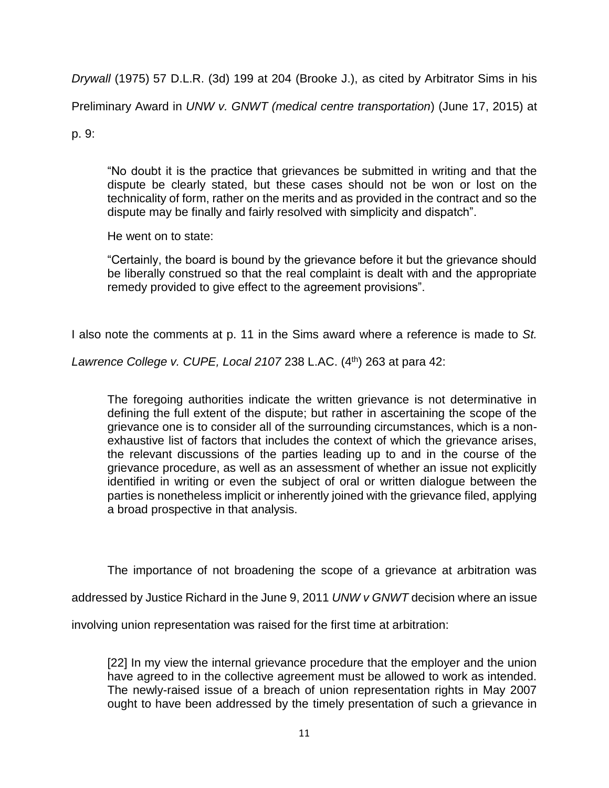*Drywall* (1975) 57 D.L.R. (3d) 199 at 204 (Brooke J.), as cited by Arbitrator Sims in his

Preliminary Award in *UNW v. GNWT (medical centre transportation*) (June 17, 2015) at

p. 9:

"No doubt it is the practice that grievances be submitted in writing and that the dispute be clearly stated, but these cases should not be won or lost on the technicality of form, rather on the merits and as provided in the contract and so the dispute may be finally and fairly resolved with simplicity and dispatch".

He went on to state:

"Certainly, the board is bound by the grievance before it but the grievance should be liberally construed so that the real complaint is dealt with and the appropriate remedy provided to give effect to the agreement provisions".

I also note the comments at p. 11 in the Sims award where a reference is made to *St.* 

*Lawrence College v. CUPE, Local 2107* 238 L.AC. (4th) 263 at para 42:

The foregoing authorities indicate the written grievance is not determinative in defining the full extent of the dispute; but rather in ascertaining the scope of the grievance one is to consider all of the surrounding circumstances, which is a nonexhaustive list of factors that includes the context of which the grievance arises, the relevant discussions of the parties leading up to and in the course of the grievance procedure, as well as an assessment of whether an issue not explicitly identified in writing or even the subject of oral or written dialogue between the parties is nonetheless implicit or inherently joined with the grievance filed, applying a broad prospective in that analysis.

The importance of not broadening the scope of a grievance at arbitration was

addressed by Justice Richard in the June 9, 2011 *UNW v GNWT* decision where an issue

involving union representation was raised for the first time at arbitration:

[22] In my view the internal grievance procedure that the employer and the union have agreed to in the collective agreement must be allowed to work as intended. The newly-raised issue of a breach of union representation rights in May 2007 ought to have been addressed by the timely presentation of such a grievance in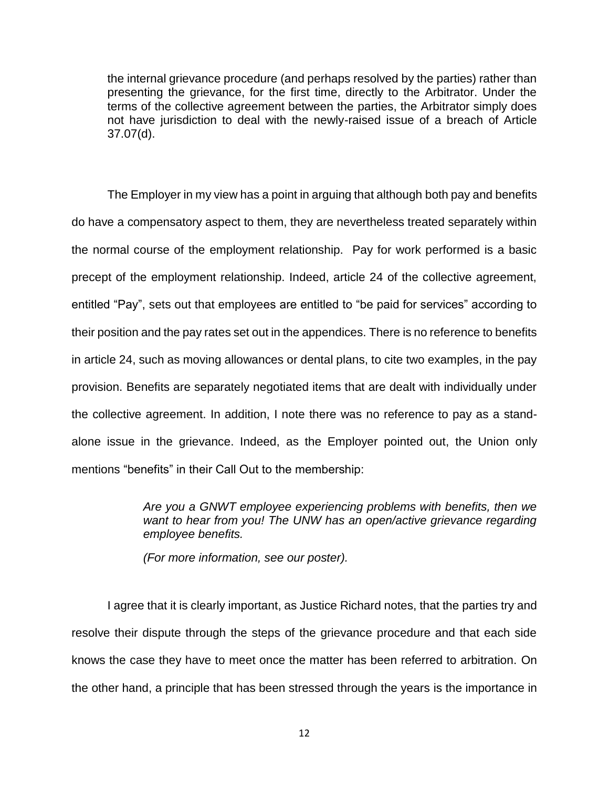the internal grievance procedure (and perhaps resolved by the parties) rather than presenting the grievance, for the first time, directly to the Arbitrator. Under the terms of the collective agreement between the parties, the Arbitrator simply does not have jurisdiction to deal with the newly-raised issue of a breach of Article 37.07(d).

The Employer in my view has a point in arguing that although both pay and benefits do have a compensatory aspect to them, they are nevertheless treated separately within the normal course of the employment relationship. Pay for work performed is a basic precept of the employment relationship. Indeed, article 24 of the collective agreement, entitled "Pay", sets out that employees are entitled to "be paid for services" according to their position and the pay rates set out in the appendices. There is no reference to benefits in article 24, such as moving allowances or dental plans, to cite two examples, in the pay provision. Benefits are separately negotiated items that are dealt with individually under the collective agreement. In addition, I note there was no reference to pay as a standalone issue in the grievance. Indeed, as the Employer pointed out, the Union only mentions "benefits" in their Call Out to the membership:

> *Are you a GNWT employee experiencing problems with benefits, then we want to hear from you! The UNW has an open/active grievance regarding employee benefits.*

*(For more information, see our poster).* 

I agree that it is clearly important, as Justice Richard notes, that the parties try and resolve their dispute through the steps of the grievance procedure and that each side knows the case they have to meet once the matter has been referred to arbitration. On the other hand, a principle that has been stressed through the years is the importance in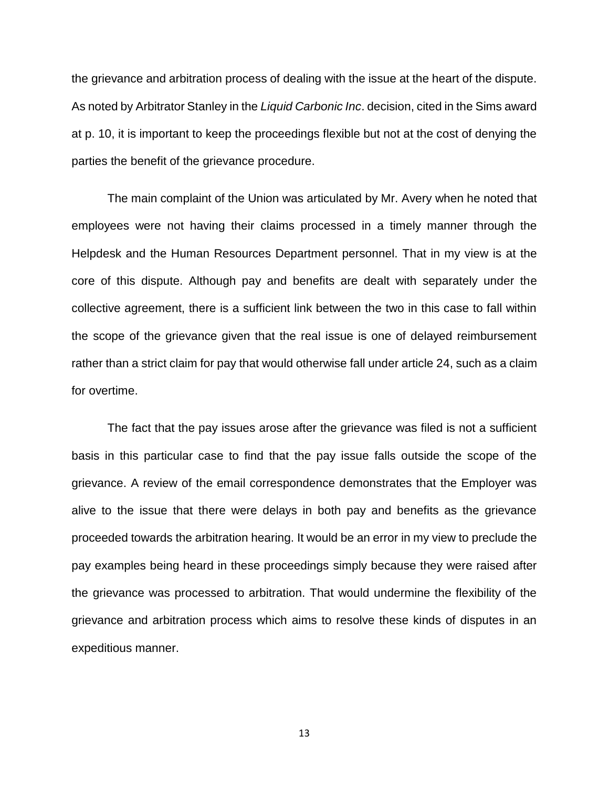the grievance and arbitration process of dealing with the issue at the heart of the dispute. As noted by Arbitrator Stanley in the *Liquid Carbonic Inc*. decision, cited in the Sims award at p. 10, it is important to keep the proceedings flexible but not at the cost of denying the parties the benefit of the grievance procedure.

The main complaint of the Union was articulated by Mr. Avery when he noted that employees were not having their claims processed in a timely manner through the Helpdesk and the Human Resources Department personnel. That in my view is at the core of this dispute. Although pay and benefits are dealt with separately under the collective agreement, there is a sufficient link between the two in this case to fall within the scope of the grievance given that the real issue is one of delayed reimbursement rather than a strict claim for pay that would otherwise fall under article 24, such as a claim for overtime.

The fact that the pay issues arose after the grievance was filed is not a sufficient basis in this particular case to find that the pay issue falls outside the scope of the grievance. A review of the email correspondence demonstrates that the Employer was alive to the issue that there were delays in both pay and benefits as the grievance proceeded towards the arbitration hearing. It would be an error in my view to preclude the pay examples being heard in these proceedings simply because they were raised after the grievance was processed to arbitration. That would undermine the flexibility of the grievance and arbitration process which aims to resolve these kinds of disputes in an expeditious manner.